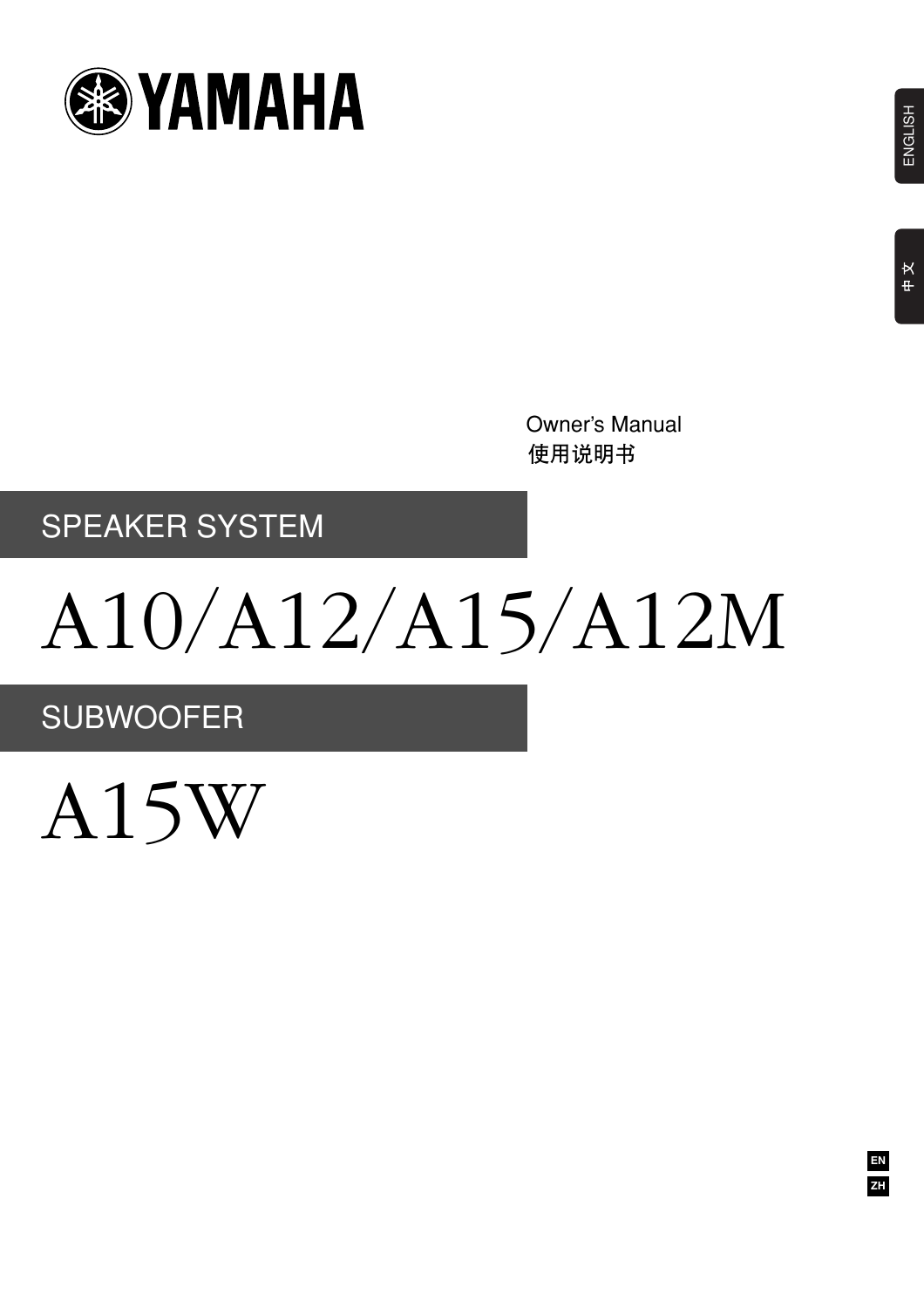

使用说明书 Owner's Manual

# SPEAKER SYSTEM

# A10/A12/A15/A12M

SUBWOOFER

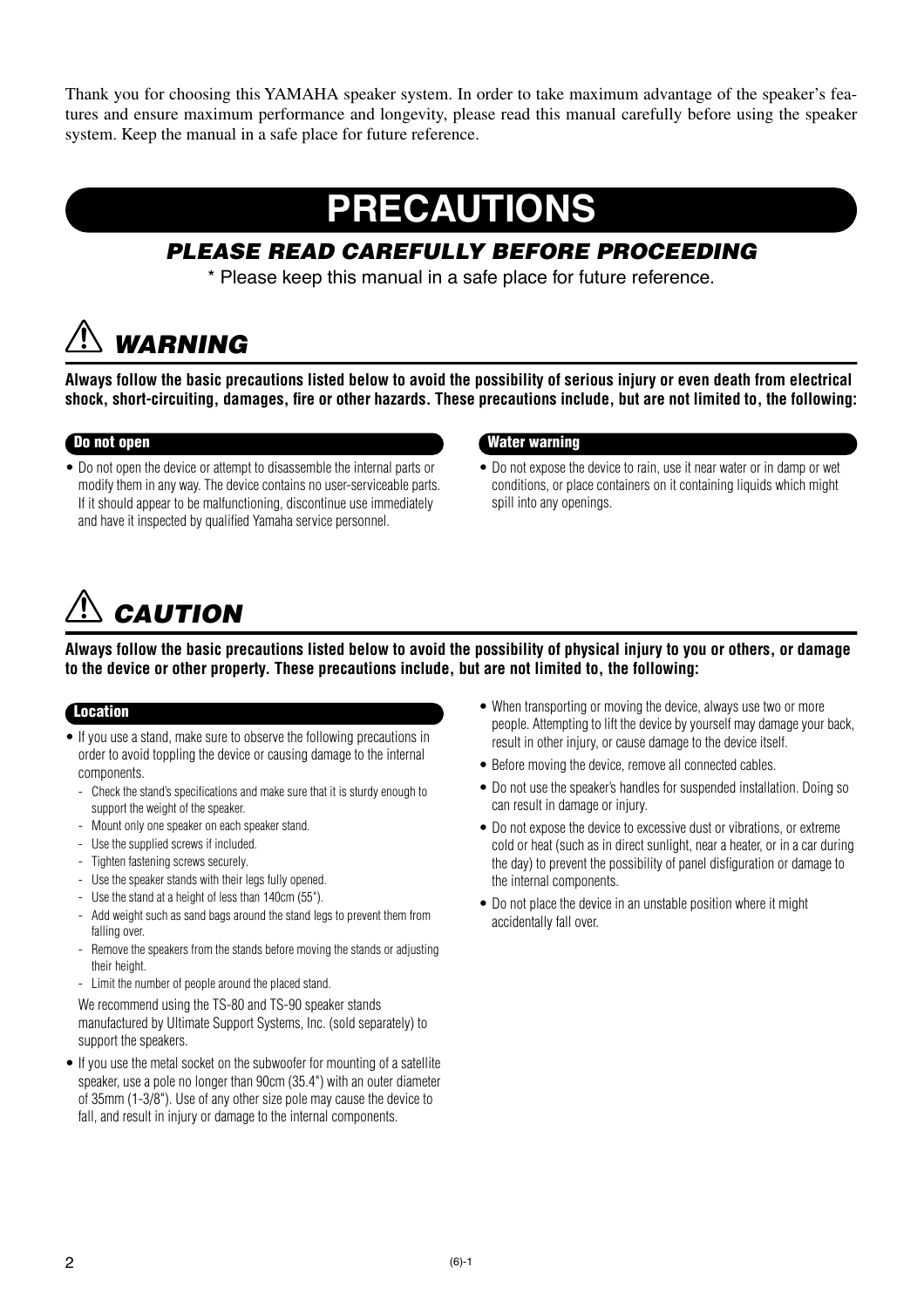Thank you for choosing this YAMAHA speaker system. In order to take maximum advantage of the speaker's features and ensure maximum performance and longevity, please read this manual carefully before using the speaker system. Keep the manual in a safe place for future reference.

# **PRECAUTIONS**

# *PLEASE READ CAREFULLY BEFORE PROCEEDING*

\* Please keep this manual in a safe place for future reference.

# *WARNING*

**Always follow the basic precautions listed below to avoid the possibility of serious injury or even death from electrical shock, short-circuiting, damages, fire or other hazards. These precautions include, but are not limited to, the following:**

• Do not open the device or attempt to disassemble the internal parts or modify them in any way. The device contains no user-serviceable parts. If it should appear to be malfunctioning, discontinue use immediately and have it inspected by qualified Yamaha service personnel.

# **Do not open Water warning**

• Do not expose the device to rain, use it near water or in damp or wet conditions, or place containers on it containing liquids which might spill into any openings.

# *CAUTION*

**Always follow the basic precautions listed below to avoid the possibility of physical injury to you or others, or damage to the device or other property. These precautions include, but are not limited to, the following:**

## **Location**

- If you use a stand, make sure to observe the following precautions in order to avoid toppling the device or causing damage to the internal components.
	- Check the stand's specifications and make sure that it is sturdy enough to support the weight of the speaker.
	- Mount only one speaker on each speaker stand.
	- Use the supplied screws if included.
	- Tighten fastening screws securely.
	- Use the speaker stands with their legs fully opened.
	- Use the stand at a height of less than 140cm (55").
	- Add weight such as sand bags around the stand legs to prevent them from falling over.
	- Remove the speakers from the stands before moving the stands or adjusting their height.
	- Limit the number of people around the placed stand.

We recommend using the TS-80 and TS-90 speaker stands manufactured by Ultimate Support Systems, Inc. (sold separately) to support the speakers.

• If you use the metal socket on the subwoofer for mounting of a satellite speaker, use a pole no longer than 90cm (35.4") with an outer diameter of 35mm (1-3/8"). Use of any other size pole may cause the device to fall, and result in injury or damage to the internal components.

- When transporting or moving the device, always use two or more people. Attempting to lift the device by yourself may damage your back, result in other injury, or cause damage to the device itself.
- Before moving the device, remove all connected cables.
- Do not use the speaker's handles for suspended installation. Doing so can result in damage or injury.
- Do not expose the device to excessive dust or vibrations, or extreme cold or heat (such as in direct sunlight, near a heater, or in a car during the day) to prevent the possibility of panel disfiguration or damage to the internal components.
- Do not place the device in an unstable position where it might accidentally fall over.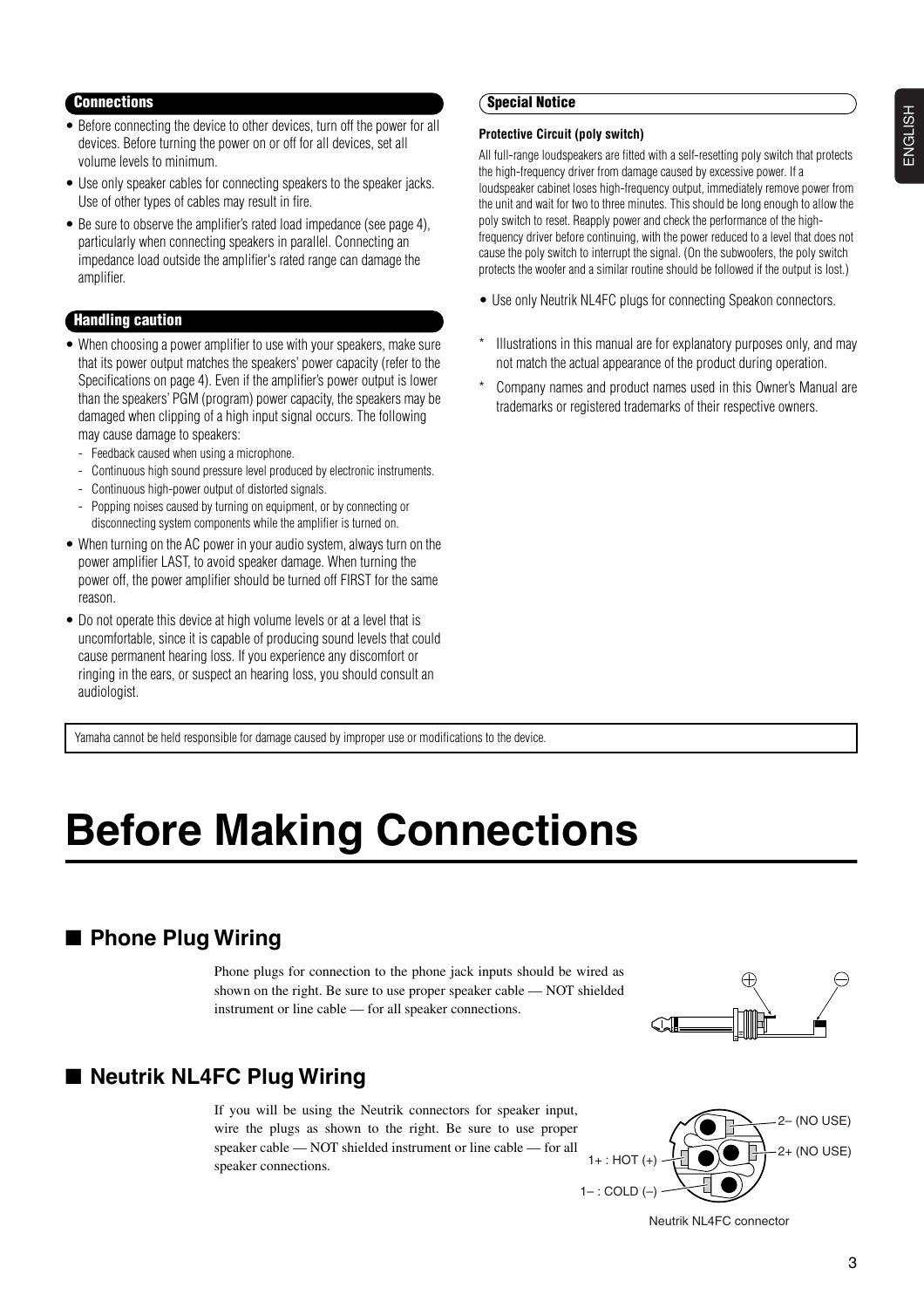# ENGLISH ENGLISH

### **Connections**

- Before connecting the device to other devices, turn off the power for all devices. Before turning the power on or off for all devices, set all volume levels to minimum.
- Use only speaker cables for connecting speakers to the speaker jacks. Use of other types of cables may result in fire.
- Be sure to observe the amplifier's rated load impedance (see page 4), particularly when connecting speakers in parallel. Connecting an impedance load outside the amplifier's rated range can damage the amplifier.

### **Handling caution**

- When choosing a power amplifier to use with your speakers, make sure that its power output matches the speakers' power capacity (refer to the Specifications on page 4). Even if the amplifier's power output is lower than the speakers' PGM (program) power capacity, the speakers may be damaged when clipping of a high input signal occurs. The following may cause damage to speakers:
	- Feedback caused when using a microphone.
	- Continuous high sound pressure level produced by electronic instruments.
	- Continuous high-power output of distorted signals.
	- Popping noises caused by turning on equipment, or by connecting or disconnecting system components while the amplifier is turned on.
- When turning on the AC power in your audio system, always turn on the power amplifier LAST, to avoid speaker damage. When turning the power off, the power amplifier should be turned off FIRST for the same reason.
- Do not operate this device at high volume levels or at a level that is uncomfortable, since it is capable of producing sound levels that could cause permanent hearing loss. If you experience any discomfort or ringing in the ears, or suspect an hearing loss, you should consult an audiologist.

### Yamaha cannot be held responsible for damage caused by improper use or modifications to the device.

# **Before Making Connections**

# ■ **Phone Plug Wiring**

Phone plugs for connection to the phone jack inputs should be wired as shown on the right. Be sure to use proper speaker cable — NOT shielded instrument or line cable — for all speaker connections.

# ■ **Neutrik NL4FC Plug Wiring**

If you will be using the Neutrik connectors for speaker input, wire the plugs as shown to the right. Be sure to use proper speaker cable — NOT shielded instrument or line cable — for all speaker connections.



ഷ

Neutrik NL4FC connector

# **Special Notice**

#### **Protective Circuit (poly switch)**

All full-range loudspeakers are fitted with a self-resetting poly switch that protects the high-frequency driver from damage caused by excessive power. If a loudspeaker cabinet loses high-frequency output, immediately remove power from the unit and wait for two to three minutes. This should be long enough to allow the poly switch to reset. Reapply power and check the performance of the highfrequency driver before continuing, with the power reduced to a level that does not cause the poly switch to interrupt the signal. (On the subwoofers, the poly switch protects the woofer and a similar routine should be followed if the output is lost.)

- Use only Neutrik NL4FC plugs for connecting Speakon connectors.
- Illustrations in this manual are for explanatory purposes only, and may not match the actual appearance of the product during operation.
- Company names and product names used in this Owner's Manual are trademarks or registered trademarks of their respective owners.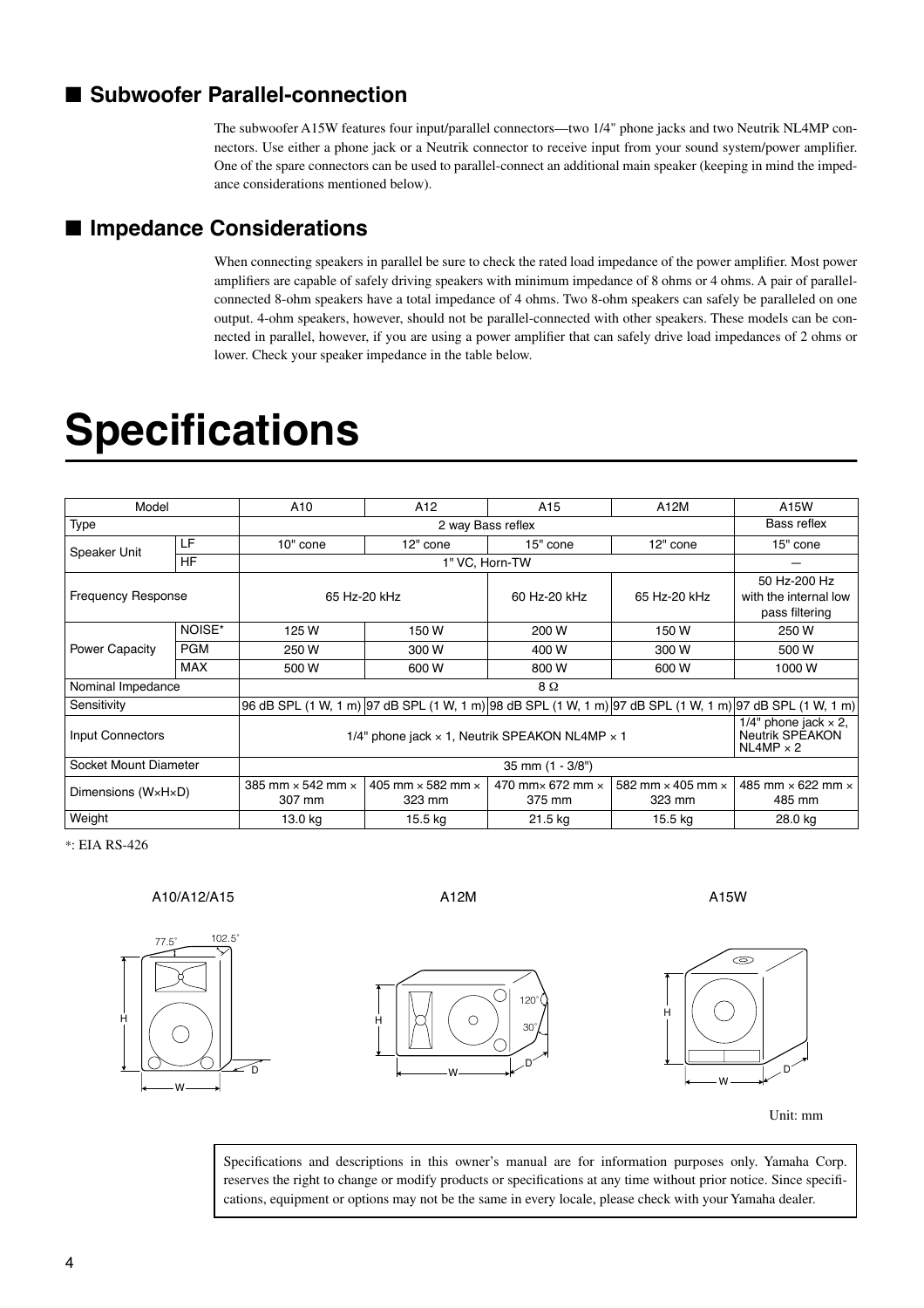# ■ Subwoofer Parallel-connection

The subwoofer A15W features four input/parallel connectors—two 1/4" phone jacks and two Neutrik NL4MP connectors. Use either a phone jack or a Neutrik connector to receive input from your sound system/power amplifier. One of the spare connectors can be used to parallel-connect an additional main speaker (keeping in mind the impedance considerations mentioned below).

# ■ **Impedance Considerations**

When connecting speakers in parallel be sure to check the rated load impedance of the power amplifier. Most power amplifiers are capable of safely driving speakers with minimum impedance of 8 ohms or 4 ohms. A pair of parallelconnected 8-ohm speakers have a total impedance of 4 ohms. Two 8-ohm speakers can safely be paralleled on one output. 4-ohm speakers, however, should not be parallel-connected with other speakers. These models can be connected in parallel, however, if you are using a power amplifier that can safely drive load impedances of 2 ohms or lower. Check your speaker impedance in the table below.

# **Specifications**

| Model                     |            | A <sub>10</sub>                                                                                          | A <sub>12</sub>                           | A <sub>15</sub>                           | A12M                                      | A15W                                                                      |
|---------------------------|------------|----------------------------------------------------------------------------------------------------------|-------------------------------------------|-------------------------------------------|-------------------------------------------|---------------------------------------------------------------------------|
| <b>Type</b>               |            | 2 way Bass reflex                                                                                        |                                           |                                           |                                           | Bass reflex                                                               |
| Speaker Unit              | LF         | 10" cone                                                                                                 | 12" cone                                  | 15" cone                                  | 12" cone                                  | 15" cone                                                                  |
|                           | <b>HF</b>  | 1" VC, Horn-TW                                                                                           |                                           |                                           |                                           |                                                                           |
| <b>Frequency Response</b> |            | 65 Hz-20 kHz                                                                                             |                                           | 60 Hz-20 kHz                              | 65 Hz-20 kHz                              | 50 Hz-200 Hz<br>with the internal low<br>pass filtering                   |
| <b>Power Capacity</b>     | NOISE*     | 125 W                                                                                                    | 150W                                      | 200 W                                     | 150W                                      | 250 W                                                                     |
|                           | <b>PGM</b> | 250 W                                                                                                    | 300 W                                     | 400 W                                     | 300 W                                     | 500 W                                                                     |
|                           | <b>MAX</b> | 500 W                                                                                                    | 600 W                                     | 800 W                                     | 600 W                                     | 1000W                                                                     |
| Nominal Impedance         |            | 8Ω                                                                                                       |                                           |                                           |                                           |                                                                           |
| Sensitivity               |            | 96 dB SPL (1 W, 1 m) 97 dB SPL (1 W, 1 m) 98 dB SPL (1 W, 1 m) 97 dB SPL (1 W, 1 m) 97 dB SPL (1 W, 1 m) |                                           |                                           |                                           |                                                                           |
| Input Connectors          |            | 1/4" phone jack $\times$ 1, Neutrik SPEAKON NL4MP $\times$ 1                                             |                                           |                                           |                                           | 1/4" phone jack $\times$ 2,<br><b>Neutrik SPEAKON</b><br>$NL4MP \times 2$ |
| Socket Mount Diameter     |            | 35 mm (1 - 3/8")                                                                                         |                                           |                                           |                                           |                                                                           |
| Dimensions (WxHxD)        |            | 385 mm $\times$ 542 mm $\times$<br>307 mm                                                                | 405 mm $\times$ 582 mm $\times$<br>323 mm | 470 mm $\times$ 672 mm $\times$<br>375 mm | 582 mm $\times$ 405 mm $\times$<br>323 mm | 485 mm $\times$ 622 mm $\times$<br>485 mm                                 |
| Weight                    |            | 13.0 kg                                                                                                  | 15.5 kg                                   | 21.5 kg                                   | 15.5 kg                                   | 28.0 kg                                                                   |

\*: EIA RS-426

A10/A12/A15 A12M A15W



W

 $\overline{\circ}$ 

H





Unit: mm

Specifications and descriptions in this owner's manual are for information purposes only. Yamaha Corp. reserves the right to change or modify products or specifications at any time without prior notice. Since specifications, equipment or options may not be the same in every locale, please check with your Yamaha dealer.

D

120° 30°